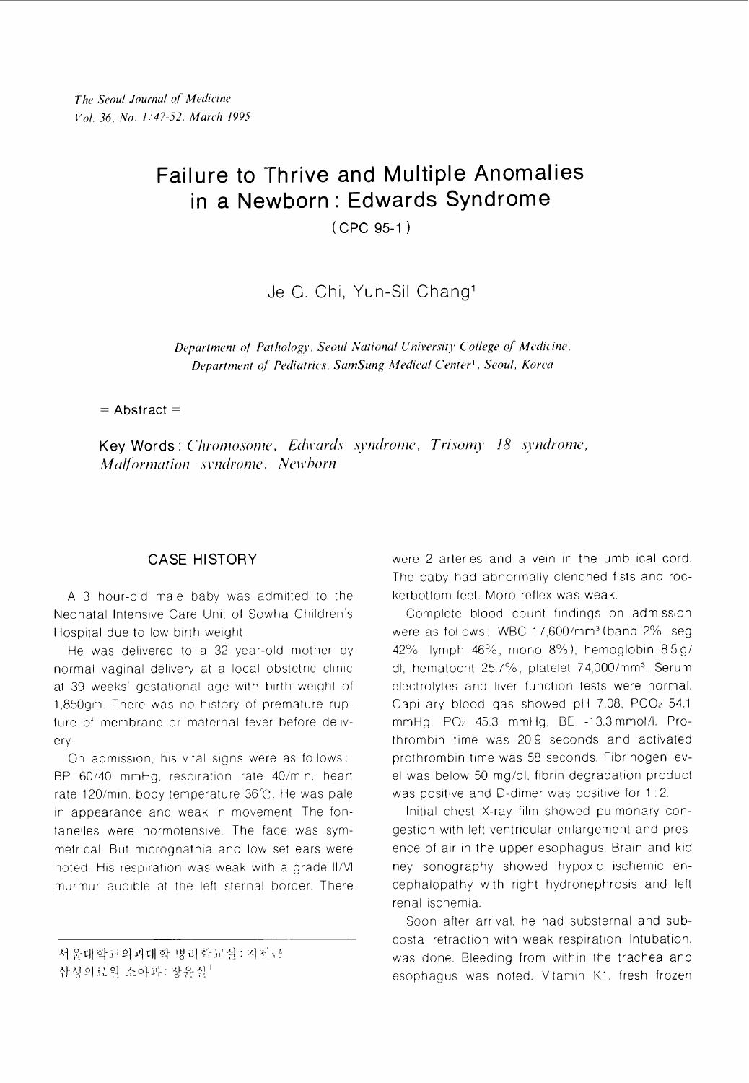# Failure to Thrive and Multiple Anomalies in a Newborn: Edwards Syndrome

 $(CPC 95-1)$ 

Je G. Chi, Yun-Sil Chang<sup>1</sup>

Department of Pathology, Seoul National University College of Medicine, Department of Pediatrics, SamSung Medical Center<sup>1</sup>, Seoul, Korea

 $=$  Abstract  $=$ 

Key Words: Chromosome, Edwards syndrome, Trisomy 18 syndrome, Malformation syndrome, Newborn

# **CASE HISTORY**

A 3 hour-old male baby was admitted to the Neonatal Intensive Care Unit of Sowha Children's Hospital due to low birth weight

He was delivered to a 32 year-old mother by normal vaginal delivery at a local obstetric clinic at 39 weeks' gestational age with birth weight of 1,850qm. There was no history of premature rupture of membrane or maternal fever before delivery.

On admission, his vital signs were as follows: BP 60/40 mmHg, respiration rate 40/min, heart rate 120/min, body temperature 36℃. He was pale in appearance and weak in movement. The fontanelles were normotensive. The face was symmetrical. But micrognathia and low set ears were noted. His respiration was weak with a grade II/VI murmur audible at the left sternal border. There were 2 arteries and a vein in the umbilical cord. The baby had abnormally clenched fists and rockerbottom feet. Moro reflex was weak.

Complete blood count findings on admission were as follows: WBC 17,600/mm<sup>3</sup> (band 2%, seg 42%, lymph 46%, mono 8%), hemoglobin 8.5 g/ dl, hematocrit 25.7%, platelet 74,000/mm<sup>3</sup>. Serum electrolytes and liver function tests were normal. Capillary blood gas showed pH 7.08, PCO2 54.1 mmHg, PO<sub>2</sub> 45.3 mmHg, BE -13.3 mmol/l. Prothrombin time was 20.9 seconds and activated prothrombin time was 58 seconds. Fibrinogen level was below 50 mg/dl, fibrin degradation product was positive and D-dimer was positive for 1:2.

Initial chest X-ray film showed pulmonary congestion with left ventricular enlargement and presence of air in the upper esophagus. Brain and kid ney sonography showed hypoxic ischemic encephalopathy with right hydronephrosis and left renal ischemia.

Soon after arrival, he had substernal and subcostal retraction with weak respiration. Intubation. was done. Bleeding from within the trachea and esophagus was noted. Vitamin K1, fresh frozen

서울대학교의과대학 병리학교실: 지제근

삼성의료원 소아과: 장윤실 |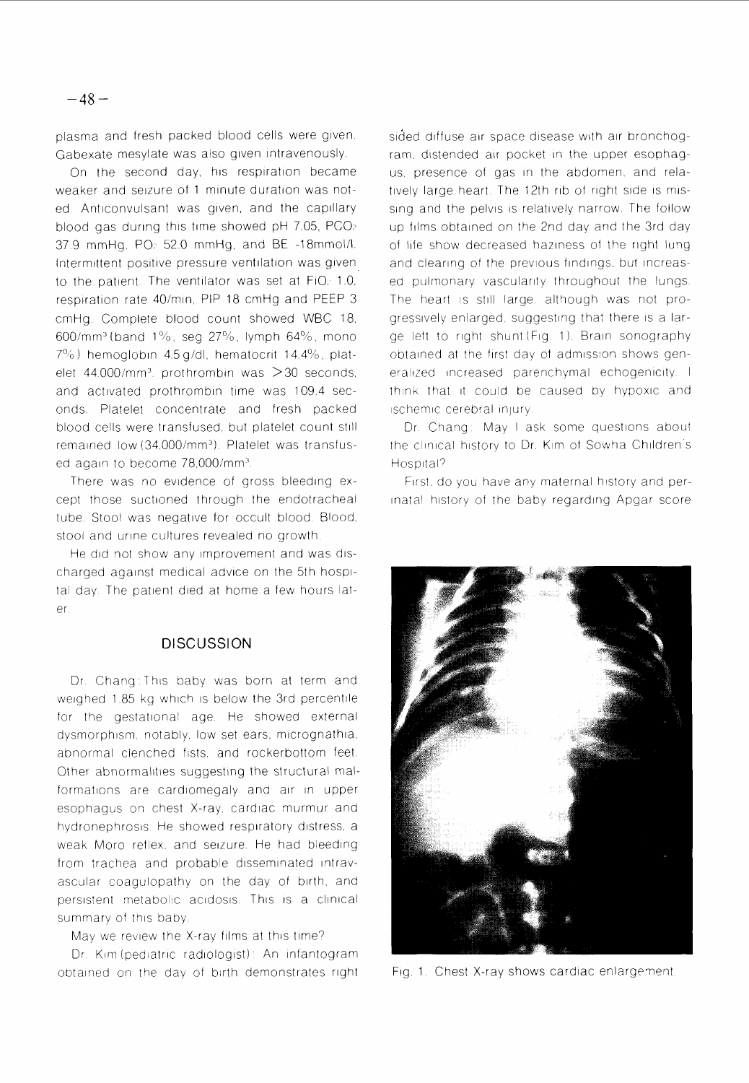plasma and fresh packed blood cells were given Gabexate mesylate was also given intravenously.

On the second day, his respiration became weaker and seizure of 1 minute duration was noted. Anticonvulsant was given, and the capillary blood gas during this time showed pH 7.05, PCO $2$ 37.9 mmHg, PO: 52.0 mmHg, and BE -18mmol/l. Intermittent positive pressure ventilation was given to the patient. The ventilator was set at  $FiO<sub>i</sub>$  1.0, respiration rate 40/min, PIP 18 cmHg and PEEP 3 cmHg. Complete blood count showed WBC 18,  $600/\text{mm}^3$  (band  $1\%$ , seg  $27\%$ , lymph 64%, mono  $7\%$ ) hemoglobin 4.5 g/dl, hematocrit 14.4%, platelet 44.000/mm<sup>3</sup>. prothrombin was  $>$ 30 seconds, and activated prothrombin time was 109.4 seconds Platelet concentrate and fresh packed blood cells were transfused, but platelet count still remained low (34 000/mm3) Platelet was transfused again to become 78,000/mm<sup>3</sup>.

There was no evidence of gross bleeding except those suctioned through the endotracheal tube. Stool was negative for occult blood. Blood, stool and urine cultures revealed no growth

He did not show any improvement and was discharged against medical advice on the 5th hospital day. The patient died at home a few hours later.

### **DISCUSSION**

Dr. Chang: This baby was born at term and weighed 1 85 kg which is below the 3rd percentile for the gestational age He showed external dysmorphism, notably, low set ears, micrognathia, abnormal clenched fists, and rockerbottom feet. Other abnormalities suggesting the structural malformations are cardiomegaly and air in upper esophagus on chest X-ray, cardiac murmur and hydronephrosis He showed respiratory distress, a weak Moro reflex, and seizure. He had bleeding from trachea and probable disseminated intravascular coagulopathy on the day of birth, and persistent metabolic acidosis. This is a clinical summary of this baby

May we review the X-ray films at this time?

Dr. Kim (pediatric radiologist): An infantogram obtained on the day of birth demonstrates right

sided diffuse air space disease with air bronchogram, distended air pocket in the upper esophagus, presence of gas in the abdomen, and relatively large heart. The 12th rib of right side is missing and the pelvis is relatively narrow. The follow up films obtained on the 2nd day and the 3rd day of life show decreased haziness of the right lung and clearing of the previous findings, but increased pulmonary vascularity throughout the lungs The heart is still large, although was not progressively enlarged, suggesting that there is a large left to right shunt (Fig. 1). Brain sonography obtained at the first day of admisston shows generalized increased parenchymal echogenicity. I think that it could be caused by hvpoxic and ischemic cerebral injury.

Dr. Chang: May I ask some questions about the clinical history to Dr. Kim of Sowha Children's Hospital?

First, do you have any maternal history and perinatal history of the baby regarding Apgar score



Fig. 1. Chest X-ray shows cardiac enlargenent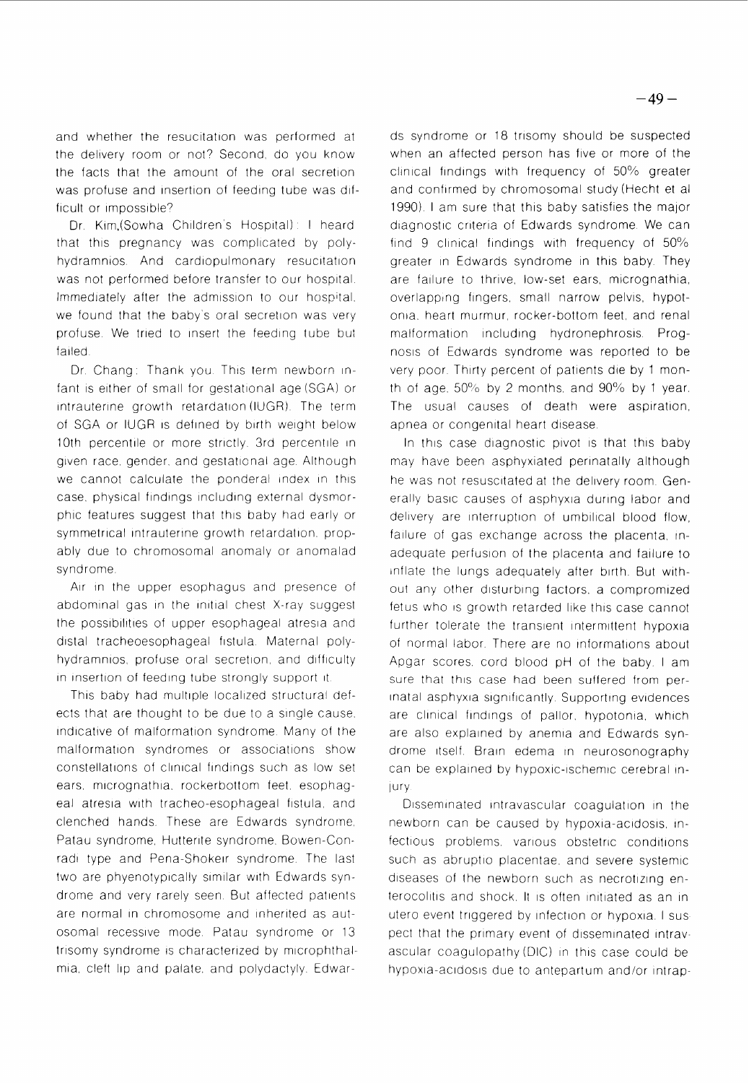and whether the resucitation was performed at the delivery room or not? Second, do you know the facts that the amount of the oral secretion was profuse and insertion of feeding tube was difficult or impossible?

Dr. Kim.(Sowha Children's Hospital): I heard that this pregnancy was complicated by polyhydramnios. And cardiopulmonary resucitation was not performed before transfer to our hospital. Immediately after the admission to our hospital. we found that the baby's oral secretion was very profuse. We tried to insert the feeding tube but failed

Dr. Chang: Thank you. This term newborn infant is either of small for gestational age (SGA) or intrauterine growth retardation (IUGR). The term of SGA or IUGR is defined by birth weight below 10th percentile or more strictly. 3rd percentile in given race, gender, and gestational age. Although we cannot calculate the ponderal index in this case, physical findings including external dysmorphic features suggest that this baby had early or symmetrical intrauterine growth retardation, propably due to chromosomal anomaly or anomalad syndrome

Air in the upper esophagus and presence of abdominal gas in the initial chest X-ray suggest the possibilities of upper esophageal atresia and distal tracheoesophageal fistula. Maternal polyhydramnios, profuse oral secretion, and difficulty in insertion of feeding tube strongly support it.

This baby had multiple localized structural defects that are thought to be due to a single cause. indicative of malformation syndrome. Many of the malformation syndromes or associations show constellations of clinical findings such as low set ears, micrognathia, rockerbottom feet, esophageal atresia with tracheo-esophageal fistula, and clenched hands. These are Edwards syndrome, Patau syndrome, Hutterite syndrome, Bowen-Conradi type and Pena-Shokeir syndrome. The last two are phyenotypically similar with Edwards syndrome and very rarely seen. But affected patients are normal in chromosome and inherited as autosomal recessive mode Patau syndrome or 13 trisomy syndrome is characterized by microphthalmia, cleft lip and palate, and polydactyly. Edwards syndrome or 18 trisomy should be suspected when an affected person has five or more of the clinical findings with frequency of 50% greater and confirmed by chromosomal study (Hecht et al 1990). I am sure that this baby satisfies the major diagnostic criteria of Edwards syndrome. We can find 9 clinical findings with frequency of  $50\%$ greater in Edwards syndrome in this baby. They are failure to thrive, low-set ears, micrognathia, overlapping fingers, small narrow pelvis, hypotonia, heart murmur, rocker-bottom feet, and renal malformation including hydronephrosis. Prognosis of Edwards syndrome was reported to be very poor. Thirty percent of patients die by 1 month of age,  $50\%$  by 2 months, and  $90\%$  by 1 year. The usual causes of death were aspiration, apnea or congenital heart disease.

In this case diagnostic pivot is that this baby may have been asphyxiated perinatally although he was not resuscitated at the dellvery room Generally basic causes of asphyxia during labor and delivery are interruption of umbilical blood flow, failure of gas exchange across the placenta, inadequate perfuslon of the placenta and fallure to inflate the lungs adequately after birth. But without any other disturbing factors, a compromized fetus who is growth retarded like this case cannot further tolerate the transient intermittent hypoxia of normal labor. There are no informations about Apgar scores, cord blood pH of the baby. I am sure that this case had been suffered from perinatal asphyxia significantly. Supporting evidences are clinical findings of pallor, hypotonia, which are also explained by anemia and Edwards syndrome itself. Brain edema in neurosonography can be explained by hypoxic-ischemic cerebral in-Jury

Disseminated intravascular coagulation in the newborn can be caused by hypoxia-acidosis, infectious problems, various obstetric conditions such as abruptio placentae, and severe systemic diseases of the newborn such as necrotizing enterocolitis and shock. It is often initiated as an in utero event triggered by infection or hypoxia. I suspect that the primary event of disseminated intravascular coagulopathy (DIC) in this case could be hypoxia-acidosis due to antepartum and/or intrap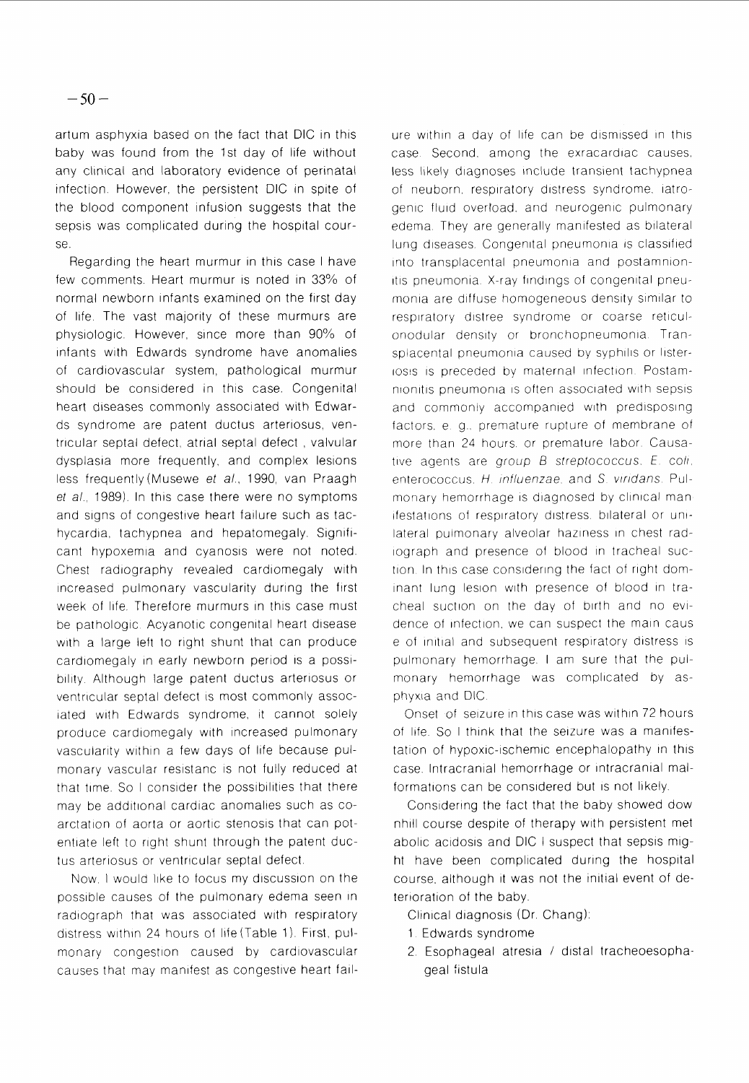artum asphyxia based on the fact that DIC in this baby was found from the 1st day of life without any clinical and laboratory evidence of perinatal infection. However, the persistent DIC in spite of the blood component infuslon suggests that the sepsis was complicated during the hospital course.

Regarding the heart murmur in this case I have few comments. Heart murmur is noted in 33% of normal newborn infants examined on the first day of life. The vast majority of these murmurs are physiologic However, since more than 90% of infants with Edwards syndrome have anomalies of cardiovascular system, pathological murmur should be considered in this case. Congenital heart diseases commonly associated with Edwards syndrome are patent ductus arteriosus, ventricular septal defect, atrial septal defect , valvular dysplasia more frequently, and complex lesions less frequently (Musewe et al., 1990, van Praagh et al., 1989). In this case there were no symptoms and signs of congestive heart fallure such as tachycardia, tachypnea and hepatomegaly. Significant hypoxemia and cyanosis were not noted Chest radiography revealed cardiomegaly with increased pulmonary vascularity during the first week of life. Therefore murmurs in this case must be pathologic Acyanotic congenital heart disease with a large left to right shunt that can produce cardiomegaly in early newborn period is a possibility Although large patent ductus arteriosus or ventricular septal defect is most commonly associated with Edwards syndrome, it cannot solely produce cardiomegaly with increased pulmonary vascularity within a few days of life because pulmonary vascular resistanc is not fully reduced at that time So I consider the possibilities that there may be additional cardiac anomalies such as coarctation of aorta or aortic stenosis that can potentiate left to right shunt through the patent ductus arteriosus or ventricular septal defect.

Now I would like to focus my discussion on the possible causes of the pulmonary edema seen in radiograph that was associated with respiratory distress within 24 hours of life (Table 1). First, pulmonary congestion caused by cardiovascular causes that may manifest as congestive heart fail-

ure within a day of life can be dismissed in this case. Second, among the exracardiac causes, less likely diagnoses include transient tachypnea of neuborn, respiratory distress syndrome, iatrogenic fluid overload, and neurogenic pulmonary edema. They are generally manifested as bilateral lung diseases. Congenital pneumonia is classified into transplacental pneumonia and postamnionitis pneumonia. X-ray findings of congenital pneumonia are diffuse homogeneous density similar to respiratory distree syndrome or coarse reticulonodular density or bronchopneumonia Transplacental pneumonia caused by syphilis or Iisterlosis is preceded by maternal infection. Postamnionitis pneumonia is often associated with sepsis and commonly accompanied with predisposing factors, e. q., premature rupture of membrane of more than 24 hours, or premature labor. Causative agents are group  $B$  streptococcus. E. coli, enterococcus. H. influenzae, and S. viridans. Pulmonary hemorrhage is diagnosed by clinical manifestations of respiratory distress. bilateral or unilateral pulmonary alveolar haziness in chest radiograph and presence of blood in tracheal suction In this case considering the fact of right dominant lung lesion with presence of blood in tracheal suction on the day of birth and no evidence of infection, we can suspect the main caus e of initial and subsequent respiratory distress is pulmonary hemorrhage I am sure that the pulmonary hemorrhage was complicated by asphyxla and DIC

Onset of seizure in this case was within 72 hours of life. So I think that the seizure was a manifestation of hypoxic-ischemic encephalopathy in this case lntracranial hemorrhage or intracranial malformations can be considered but is not likely

Considering the fact that the baby showed dow nhill course despite of therapy with persistent met abolic acidosis and DIC I suspect that sepsis might have been complicated during the hospital course, although it was not the initial event of deterioration of the baby.

Clinical diagnosis (Dr. Chang):

- 1 Edwards syndrome
- 2. Esophageal atresia / distal tracheoesophageal fistula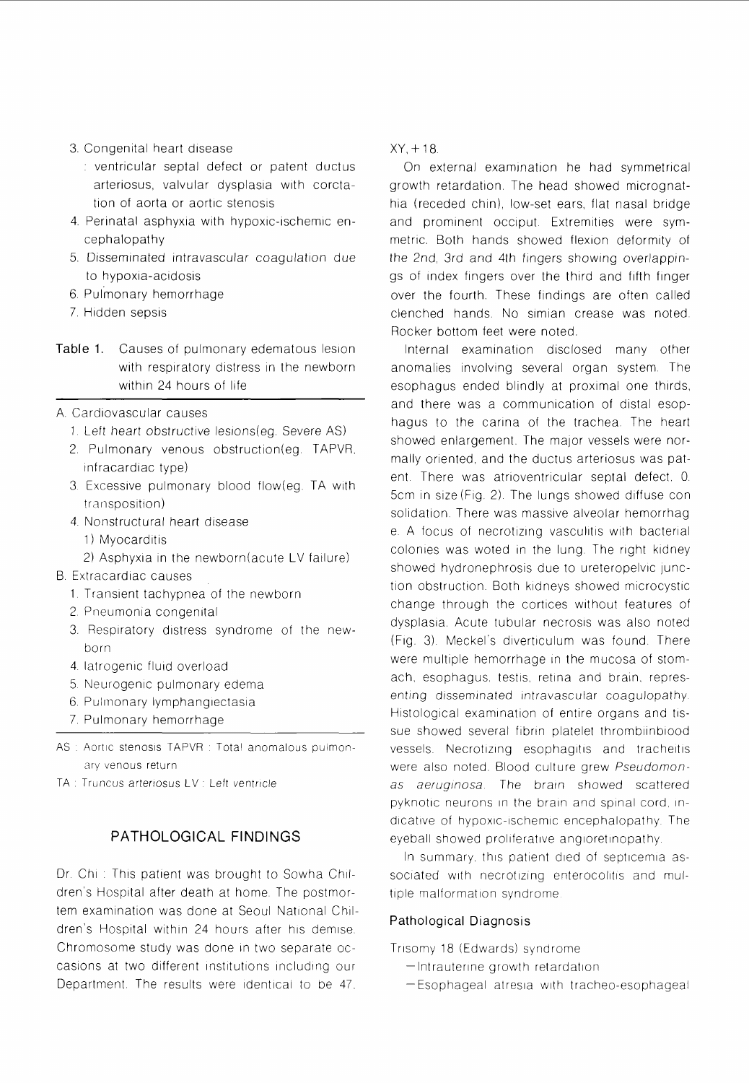- 3. Congenital heart disease
	- : ventricular septal defect or patent ductus arteriosus, valvular dysplasia with corctation of aorta or aortic stenosis
- 4. Perinatal asphyxia with hypoxic-ischemic encephalopathy
- 5. Disseminated intravascular coagulation due to hypoxia-acidosis
- 6. pulmonary hemorrhage
- 7. Hidden sepsis
- Table 1. Causes of pulmonary edematous lesion with respiratory distress in the newborn within 24 hours of life
- A. Cardiovascular causes
	- 1. Left heart obstructive lesions(eg. Severe AS)
	- 2. Pulmonary venous obstruction(eg. TAPVR, infracardiac type)
	- 3. Excessive pulmonary blood flow(eg. TA with transposition)
	- 4. Nonstructural heart disease
		- 1) Myocarditis
		- 2) Asphyxia in the newborn(acute LV failure)
- B. Extracardiac causes
	- 1 Translent tachypnea of the newborn
	- 2. Pneumonia congenital
	- 3. Respiratory distress syndrome of the newborn
	- 4. latrogenic fluid overload
	- 5. Neurogenic pulmonary edema
	- 6. Pulmonary lymphangiectasia
	- 7 Pulmonary hemorrhage
- AS : Aortic stenosis TAPVR : Total anomalous pulmonary venous return
- TA : Truncus arteriosus LV : Left ventricle

#### PATHOLOGICAL FINDINGS

Dr. Chi: This patient was brought to Sowha Children's Hospltal after death at home. The postmortem examination was done at Seoul National Children's Hospital within 24 hours after his demise. Chromosome study was done in two separate occasions at two different institutions including our Department. The results were identical to be 47.

 $XY + 18$ 

On external examination he had symmetrical growth retardation. The head showed micrognathia (receded chin), low-set ears, flat nasal bridge and prominent occiput. Extremities were symmetric. Both hands showed flexion deformity of the 2nd, 3rd and 4th fingers showing overlappings of index fingers over the third and fifth finger over the fourth. These findings are often called clenched hands. No simian crease was noted. Rocker bottom feet were noted

Internal examination disclosed many other anomalies involving several organ system. The esophagus ended blindly at proximal one thirds, and there was a communication of distal esophagus to the carina of the trachea. The heart showed enlargement. The major vessels were normally oriented, and the ductus arteriosus was patent. There was atrioventricular septal defect, 0. 5cm in size (Fig. 2). The lungs showed diffuse con solidation. There was massive alveolar hemorrhag e. A focus of necrotizing vasculitis with bacterial colonies was woted in the lung. The right kidney showed hydronephrosis due to ureteropelvic junction obstruction. Both kidneys showed microcystic change through the cortices without features of dysplasia. Acute tubular necrosis was also noted (Fig. 3). Meckel's diverticulum was found. There were multiple hemorrhage in the mucosa of stomach, esophagus, testis, retina and brain, representing disseminated intravascular coagulopathy. Histological examination of entire organs and tissue showed several fibrin platelet thrombiinblood vessels. Necrotizing esophagitis and tracheitis were also noted. Blood culture grew Pseudomonas aeruginosa. The brain showed scattered pyknotic neurons in the brain and spinal cord, indicative of hypoxic-ischemic encephalopathy. The eyeball showed proliferative angioretinopathy.

In summary, this patient died of septicemia associated with necrotizing enterocolitis and multiple malformation syndrome.

#### Pathological Diagnosis

Trisomy 18 (Edwards) syndrome

- Intrauterine growth retardation
- -Esophageal atresia with tracheo-esophageal